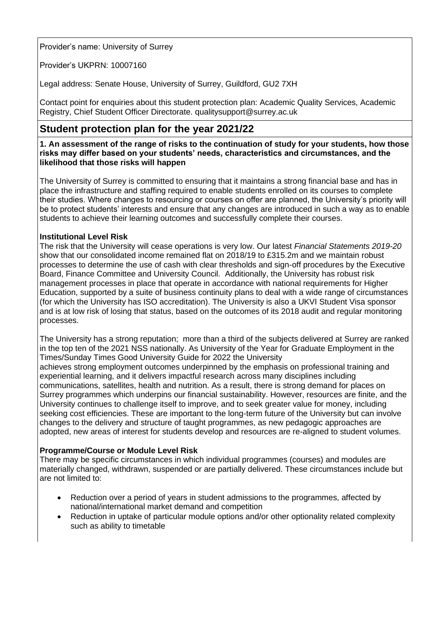Provider's name: University of Surrey

Provider's UKPRN: 10007160

Legal address: Senate House, University of Surrey, Guildford, GU2 7XH

Contact point for enquiries about this student protection plan: Academic Quality Services, Academic Registry, Chief Student Officer Directorate. [qualitysupport@surrey.ac.uk](mailto:qualitysupport@surrey.ac.uk)

# **Student protection plan for the year 2021/22**

**1. An assessment of the range of risks to the continuation of study for your students, how those risks may differ based on your students' needs, characteristics and circumstances, and the likelihood that those risks will happen**

The University of Surrey is committed to ensuring that it maintains a strong financial base and has in place the infrastructure and staffing required to enable students enrolled on its courses to complete their studies. Where changes to resourcing or courses on offer are planned, the University's priority will be to protect students' interests and ensure that any changes are introduced in such a way as to enable students to achieve their learning outcomes and successfully complete their courses.

# **Institutional Level Risk**

The risk that the University will cease operations is very low. Our latest *[Financial Statements](https://www.surrey.ac.uk/about/management-and-strategy/financial-statements) 2019-20* show that our consolidated income remained flat on 2018/19 to £315.2m and we maintain robust processes to determine the use of cash with clear thresholds and sign-off procedures by the Executive Board, Finance Committee and University Council. Additionally, the University has robust risk management processes in place that operate in accordance with national requirements for Higher Education, supported by a suite of business continuity plans to deal with a wide range of circumstances (for which the University has ISO accreditation). The University is also a [UKVI](https://assets.publishing.service.gov.uk/government/uploads/system/uploads/attachment_data/file/840383/2019-10-18_Tier_4_Register_of_Sponsors.pdf) Student Visa sponsor and is at low risk of losing that status, based on the outcomes of its 2018 audit and regular monitoring processes.

The University has a strong reputation; more than a third of the subjects delivered at Surrey are ranked in the top ten of the 2021 NSS nationally. As University of the Year for Graduate Employment in the Times/Sunday Times Good University Guide for 2022 the University

achieves strong employment outcomes underpinned by the emphasis on professional training and experiential learning, and it delivers impactful research across many disciplines including communications, satellites, health and nutrition. As a result, there is strong demand for places on Surrey programmes which underpins our financial sustainability. However, resources are finite, and the University continues to challenge itself to improve, and to seek greater value for money, including seeking cost efficiencies. These are important to the long-term future of the University but can involve changes to the delivery and structure of taught programmes, as new pedagogic approaches are adopted, new areas of interest for students develop and resources are re-aligned to student volumes.

# **Programme/Course or Module Level Risk**

There may be specific circumstances in which individual programmes (courses) and modules are materially changed, withdrawn, suspended or are partially delivered. These circumstances include but are not limited to:

- Reduction over a period of years in student admissions to the programmes, affected by national/international market demand and competition
- Reduction in uptake of particular module options and/or other optionality related complexity such as ability to timetable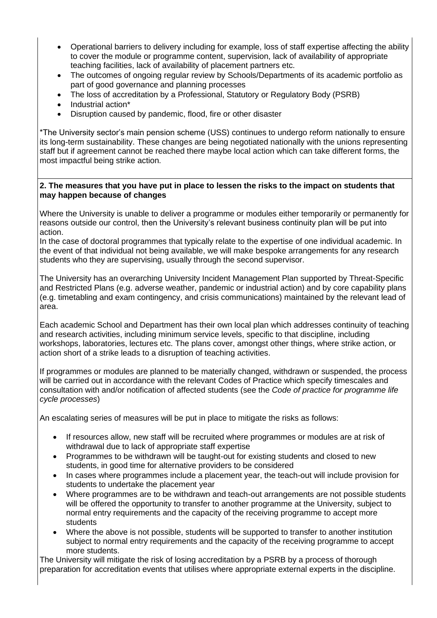- Operational barriers to delivery including for example, loss of staff expertise affecting the ability to cover the module or programme content, supervision, lack of availability of appropriate teaching facilities, lack of availability of placement partners etc.
- The outcomes of ongoing regular review by Schools/Departments of its academic portfolio as part of good governance and planning processes
- The loss of accreditation by a Professional, Statutory or Regulatory Body (PSRB)
- Industrial action\*
- Disruption caused by pandemic, flood, fire or other disaster

\*The University sector's main pension scheme [\(USS\)](https://www.uss.co.uk/) continues to undergo reform nationally to ensure its long-term sustainability. These changes are being negotiated nationally with the unions representing staff but if agreement cannot be reached there maybe local action which can take different forms, the most impactful being strike action.

#### **2. The measures that you have put in place to lessen the risks to the impact on students that may happen because of changes**

Where the University is unable to deliver a programme or modules either temporarily or permanently for reasons outside our control, then the University's relevant business continuity plan will be put into action.

In the case of doctoral programmes that typically relate to the expertise of one individual academic. In the event of that individual not being available, we will make bespoke arrangements for any research students who they are supervising, usually through the second supervisor.

The University has an overarching University Incident Management Plan supported by Threat-Specific and Restricted Plans (e.g. adverse weather, pandemic or industrial action) and by core capability plans (e.g. timetabling and exam contingency, and crisis communications) maintained by the relevant lead of area.

Each academic School and Department has their own local plan which addresses continuity of teaching and research activities, including minimum service levels, specific to that discipline, including workshops, laboratories, lectures etc. The plans cover, amongst other things, where strike action, or action short of a strike leads to a disruption of teaching activities.

If programmes or modules are planned to be materially changed, withdrawn or suspended, the process will be carried out in accordance with the relevant Codes of Practice which specify timescales and consultation with and/or notification of affected students (see the *[Code of practice for programme life](https://www.surrey.ac.uk/sites/default/files/2020-09/code-practice-programme-life-cycle-processes.pdf)  [cycle processes](https://www.surrey.ac.uk/sites/default/files/2020-09/code-practice-programme-life-cycle-processes.pdf)*)

An escalating series of measures will be put in place to mitigate the risks as follows:

- If resources allow, new staff will be recruited where programmes or modules are at risk of withdrawal due to lack of appropriate staff expertise
- Programmes to be withdrawn will be taught-out for existing students and closed to new students, in good time for alternative providers to be considered
- In cases where programmes include a placement year, the teach-out will include provision for students to undertake the placement year
- Where programmes are to be withdrawn and teach-out arrangements are not possible students will be offered the opportunity to transfer to another programme at the University, subject to normal entry requirements and the capacity of the receiving programme to accept more students
- Where the above is not possible, students will be supported to transfer to another institution subject to normal entry requirements and the capacity of the receiving programme to accept more students.

The University will mitigate the risk of losing accreditation by a PSRB by a process of thorough preparation for accreditation events that utilises where appropriate external experts in the discipline.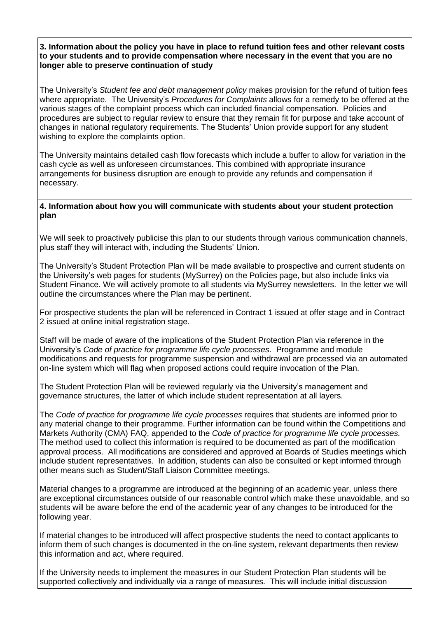## **3. Information about the policy you have in place to refund tuition fees and other relevant costs to your students and to provide compensation where necessary in the event that you are no longer able to preserve continuation of study**

The University's *[Student fee and debt management policy](https://www.surrey.ac.uk/sites/default/files/2020-09/student-fee-and-debt-management-policy.pdf)* makes provision for the refund of tuition fees where appropriate. The University's *[Procedures for Complaints](https://www.surrey.ac.uk/sites/default/files/b7-procedure-for-complaints-2017-18-final.pdf)* allows for a remedy to be offered at the various stages of the complaint process which can included financial compensation. Policies and procedures are subject to regular review to ensure that they remain fit for purpose and take account of changes in national regulatory requirements. The Students' Union provide support for any student wishing to explore the complaints option.

The University maintains detailed cash flow forecasts which include a buffer to allow for variation in the cash cycle as well as unforeseen circumstances. This combined with appropriate insurance arrangements for business disruption are enough to provide any refunds and compensation if necessary.

## **4. Information about how you will communicate with students about your student protection plan**

We will seek to proactively publicise this plan to our students through various communication channels, plus staff they will interact with, including the Students' Union.

The University's Student Protection Plan will be made available to prospective and current students on the University's web pages for students [\(MySurrey\)](file:///C:/Users/le0011/AppData/Local/Microsoft/Windows/INetCache/Content.Outlook/YA7SFU1F/mysurrey.ac.uk) on the Policies page, but also include links via Student Finance. We will actively promote to all students via MySurrey newsletters. In the letter we will outline the circumstances where the Plan may be pertinent.

For prospective students the plan will be referenced in Contract 1 issued at offer stage and in Contract 2 issued at online initial registration stage.

Staff will be made of aware of the implications of the Student Protection Plan via reference in the University's *Code of practice for programme life cycle processes*. Programme and module modifications and requests for programme suspension and withdrawal are processed via an automated on-line system which will flag when proposed actions could require invocation of the Plan.

The Student Protection Plan will be reviewed regularly via the University's management and governance structures, the latter of which include student representation at all layers.

The *[Code of practice for programme](https://www.surrey.ac.uk/quality-enhancement-standards/codes-practice) life cycle processes* requires that students are informed prior to any material change to their programme. Further information can be found within the Competitions and Markets Authority (CMA) FAQ, appended to the *Code of practice for programme life cycle processes.*  The method used to collect this information is required to be documented as part of the modification approval process. All modifications are considered and approved at Boards of Studies meetings which include student representatives. In addition, students can also be consulted or kept informed through other means such as Student/Staff Liaison Committee meetings.

Material changes to a programme are introduced at the beginning of an academic year, unless there are exceptional circumstances outside of our reasonable control which make these unavoidable, and so students will be aware before the end of the academic year of any changes to be introduced for the following year.

If material changes to be introduced will affect prospective students the need to contact applicants to inform them of such changes is documented in the on-line system, relevant departments then review this information and act, where required.

If the University needs to implement the measures in our Student Protection Plan students will be supported collectively and individually via a range of measures. This will include initial discussion